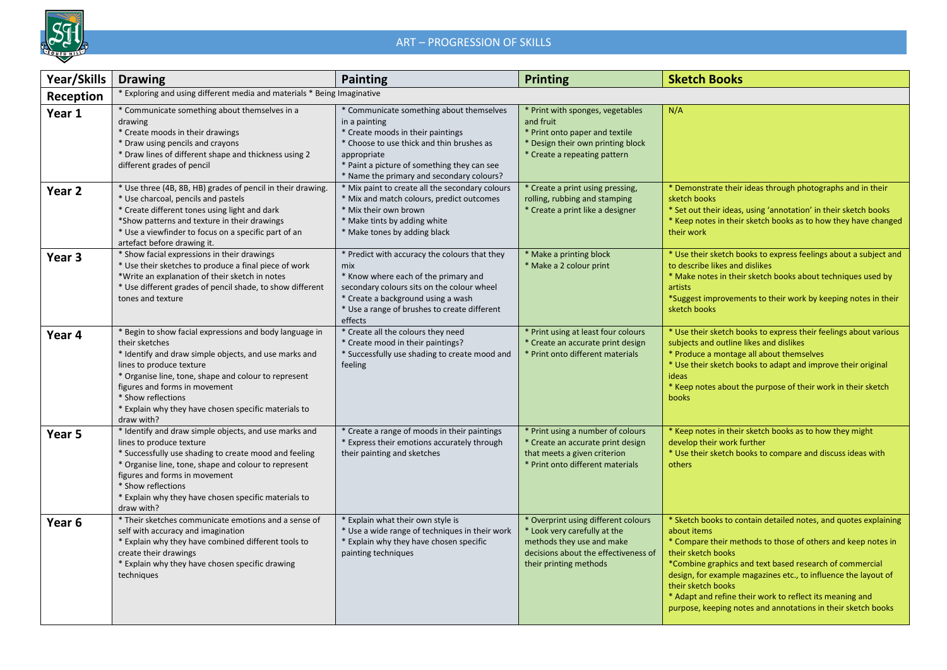

## ART – PROGRESSION OF SKILLS

| Year/Skills       | <b>Drawing</b>                                                                                                                                                                                                                                                                                                                                      | <b>Painting</b>                                                                                                                                                                                                                                        | <b>Printing</b>                                                                                                                                                    | <b>Sketch Books</b>                                                                                                                                                                                                                                                                                                                                                                                                                                 |  |  |  |  |
|-------------------|-----------------------------------------------------------------------------------------------------------------------------------------------------------------------------------------------------------------------------------------------------------------------------------------------------------------------------------------------------|--------------------------------------------------------------------------------------------------------------------------------------------------------------------------------------------------------------------------------------------------------|--------------------------------------------------------------------------------------------------------------------------------------------------------------------|-----------------------------------------------------------------------------------------------------------------------------------------------------------------------------------------------------------------------------------------------------------------------------------------------------------------------------------------------------------------------------------------------------------------------------------------------------|--|--|--|--|
| Reception         | * Exploring and using different media and materials * Being Imaginative                                                                                                                                                                                                                                                                             |                                                                                                                                                                                                                                                        |                                                                                                                                                                    |                                                                                                                                                                                                                                                                                                                                                                                                                                                     |  |  |  |  |
| Year 1            | * Communicate something about themselves in a<br>drawing<br>* Create moods in their drawings<br>* Draw using pencils and crayons<br>* Draw lines of different shape and thickness using 2<br>different grades of pencil                                                                                                                             | * Communicate something about themselves<br>in a painting<br>* Create moods in their paintings<br>* Choose to use thick and thin brushes as<br>appropriate<br>* Paint a picture of something they can see<br>* Name the primary and secondary colours? | * Print with sponges, vegetables<br>and fruit<br>* Print onto paper and textile<br>* Design their own printing block<br>* Create a repeating pattern               | N/A                                                                                                                                                                                                                                                                                                                                                                                                                                                 |  |  |  |  |
| Year <sub>2</sub> | * Use three (4B, 8B, HB) grades of pencil in their drawing.<br>* Use charcoal, pencils and pastels<br>* Create different tones using light and dark<br>*Show patterns and texture in their drawings<br>* Use a viewfinder to focus on a specific part of an<br>artefact before drawing it.                                                          | * Mix paint to create all the secondary colours<br>* Mix and match colours, predict outcomes<br>* Mix their own brown<br>* Make tints by adding white<br>* Make tones by adding black                                                                  | * Create a print using pressing,<br>rolling, rubbing and stamping<br>* Create a print like a designer                                                              | * Demonstrate their ideas through photographs and in their<br>sketch books<br>* Set out their ideas, using 'annotation' in their sketch books<br>* Keep notes in their sketch books as to how they have changed<br>their work                                                                                                                                                                                                                       |  |  |  |  |
| Year 3            | * Show facial expressions in their drawings<br>* Use their sketches to produce a final piece of work<br>*Write an explanation of their sketch in notes<br>* Use different grades of pencil shade, to show different<br>tones and texture                                                                                                            | * Predict with accuracy the colours that they<br>mix<br>* Know where each of the primary and<br>secondary colours sits on the colour wheel<br>* Create a background using a wash<br>* Use a range of brushes to create different<br>effects            | * Make a printing block<br>* Make a 2 colour print                                                                                                                 | * Use their sketch books to express feelings about a subject and<br>to describe likes and dislikes<br>* Make notes in their sketch books about techniques used by<br>artists<br>*Suggest improvements to their work by keeping notes in their<br>sketch books                                                                                                                                                                                       |  |  |  |  |
| Year 4            | * Begin to show facial expressions and body language in<br>their sketches<br>* Identify and draw simple objects, and use marks and<br>lines to produce texture<br>* Organise line, tone, shape and colour to represent<br>figures and forms in movement<br>* Show reflections<br>* Explain why they have chosen specific materials to<br>draw with? | * Create all the colours they need<br>* Create mood in their paintings?<br>* Successfully use shading to create mood and<br>feeling                                                                                                                    | * Print using at least four colours<br>* Create an accurate print design<br>* Print onto different materials                                                       | * Use their sketch books to express their feelings about various<br>subjects and outline likes and dislikes<br>* Produce a montage all about themselves<br>* Use their sketch books to adapt and improve their original<br>ideas<br>* Keep notes about the purpose of their work in their sketch<br>books                                                                                                                                           |  |  |  |  |
| Year 5            | * Identify and draw simple objects, and use marks and<br>lines to produce texture<br>* Successfully use shading to create mood and feeling<br>* Organise line, tone, shape and colour to represent<br>figures and forms in movement<br>* Show reflections<br>* Explain why they have chosen specific materials to<br>draw with?                     | * Create a range of moods in their paintings<br>* Express their emotions accurately through<br>their painting and sketches                                                                                                                             | * Print using a number of colours<br>* Create an accurate print design<br>that meets a given criterion<br>* Print onto different materials                         | * Keep notes in their sketch books as to how they might<br>develop their work further<br>* Use their sketch books to compare and discuss ideas with<br>others                                                                                                                                                                                                                                                                                       |  |  |  |  |
| Year <sub>6</sub> | * Their sketches communicate emotions and a sense of<br>self with accuracy and imagination<br>* Explain why they have combined different tools to<br>create their drawings<br>* Explain why they have chosen specific drawing<br>techniques                                                                                                         | * Explain what their own style is<br>* Use a wide range of techniques in their work<br>* Explain why they have chosen specific<br>painting techniques                                                                                                  | * Overprint using different colours<br>* Look very carefully at the<br>methods they use and make<br>decisions about the effectiveness of<br>their printing methods | * Sketch books to contain detailed notes, and quotes explaining<br>about items<br>* Compare their methods to those of others and keep notes in<br>their sketch books<br>*Combine graphics and text based research of commercial<br>design, for example magazines etc., to influence the layout of<br>their sketch books<br>* Adapt and refine their work to reflect its meaning and<br>purpose, keeping notes and annotations in their sketch books |  |  |  |  |